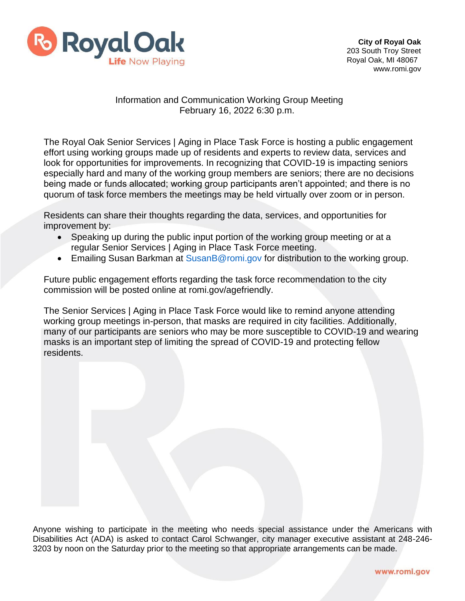

## Information and Communication Working Group Meeting February 16, 2022 6:30 p.m.

The Royal Oak Senior Services | Aging in Place Task Force is hosting a public engagement effort using working groups made up of residents and experts to review data, services and look for opportunities for improvements. In recognizing that COVID-19 is impacting seniors especially hard and many of the working group members are seniors; there are no decisions being made or funds allocated; working group participants aren't appointed; and there is no quorum of task force members the meetings may be held virtually over zoom or in person.

Residents can share their thoughts regarding the data, services, and opportunities for improvement by:

- Speaking up during the public input portion of the working group meeting or at a regular Senior Services | Aging in Place Task Force meeting.
- Emailing Susan Barkman at [SusanB@romi.gov f](mailto:SusanB@romi.gov)or distribution to the working group.

Future public engagement efforts regarding the task force recommendation to the city commission will be posted online at romi.gov/agefriendly.

The Senior Services | Aging in Place Task Force would like to remind anyone attending working group meetings in-person, that masks are required in city facilities. Additionally, many of our participants are seniors who may be more susceptible to COVID-19 and wearing masks is an important step of limiting the spread of COVID-19 and protecting fellow residents.

Anyone wishing to participate in the meeting who needs special assistance under the Americans with Disabilities Act (ADA) is asked to contact Carol Schwanger, city manager executive assistant at 248-246- 3203 by noon on the Saturday prior to the meeting so that appropriate arrangements can be made.